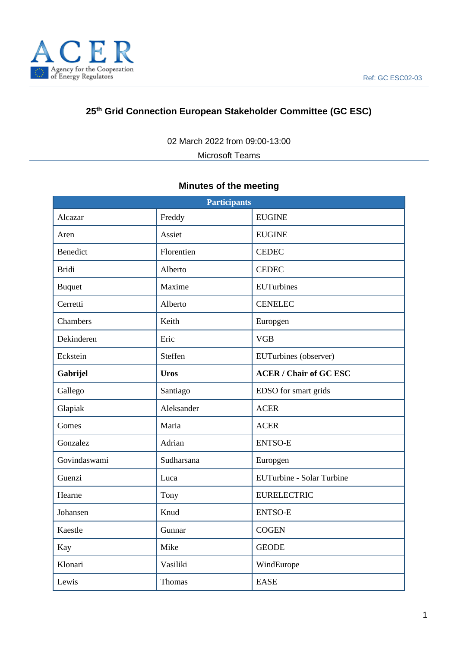

# **25 th Grid Connection European Stakeholder Committee (GC ESC)**

02 March 2022 from 09:00-13:00

Microsoft Teams

# **Minutes of the meeting**

| <b>Participants</b> |             |                               |
|---------------------|-------------|-------------------------------|
| Alcazar             | Freddy      | <b>EUGINE</b>                 |
| Aren                | Assiet      | <b>EUGINE</b>                 |
| <b>Benedict</b>     | Florentien  | <b>CEDEC</b>                  |
| <b>Bridi</b>        | Alberto     | <b>CEDEC</b>                  |
| <b>Buquet</b>       | Maxime      | <b>EUTurbines</b>             |
| Cerretti            | Alberto     | <b>CENELEC</b>                |
| Chambers            | Keith       | Europgen                      |
| Dekinderen          | Eric        | <b>VGB</b>                    |
| Eckstein            | Steffen     | EUTurbines (observer)         |
| Gabrijel            | <b>Uros</b> | <b>ACER / Chair of GC ESC</b> |
| Gallego             | Santiago    | EDSO for smart grids          |
| Glapiak             | Aleksander  | <b>ACER</b>                   |
| Gomes               | Maria       | <b>ACER</b>                   |
| Gonzalez            | Adrian      | <b>ENTSO-E</b>                |
| Govindaswami        | Sudharsana  | Europgen                      |
| Guenzi              | Luca        | EUTurbine - Solar Turbine     |
| Hearne              | Tony        | <b>EURELECTRIC</b>            |
| Johansen            | Knud        | <b>ENTSO-E</b>                |
| Kaestle             | Gunnar      | <b>COGEN</b>                  |
| Kay                 | Mike        | <b>GEODE</b>                  |
| Klonari             | Vasiliki    | WindEurope                    |
| Lewis               | Thomas      | <b>EASE</b>                   |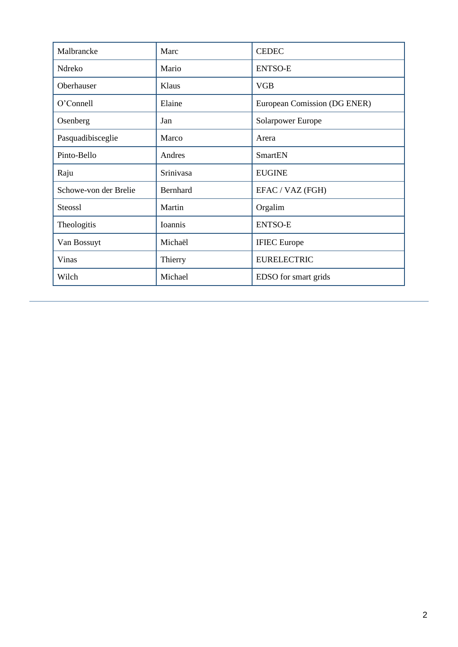| Malbrancke            | Marc      | <b>CEDEC</b>                 |
|-----------------------|-----------|------------------------------|
| Ndreko                | Mario     | <b>ENTSO-E</b>               |
| Oberhauser            | Klaus     | <b>VGB</b>                   |
| O'Connell             | Elaine    | European Comission (DG ENER) |
| Osenberg              | Jan       | Solarpower Europe            |
| Pasquadibisceglie     | Marco     | Arera                        |
| Pinto-Bello           | Andres    | <b>SmartEN</b>               |
| Raju                  | Srinivasa | <b>EUGINE</b>                |
| Schowe-von der Brelie | Bernhard  | EFAC / VAZ (FGH)             |
| <b>Steossl</b>        | Martin    | Orgalim                      |
| Theologitis           | Ioannis   | <b>ENTSO-E</b>               |
| Van Bossuyt           | Michaël   | <b>IFIEC</b> Europe          |
| Vinas                 | Thierry   | <b>EURELECTRIC</b>           |
| Wilch                 | Michael   | EDSO for smart grids         |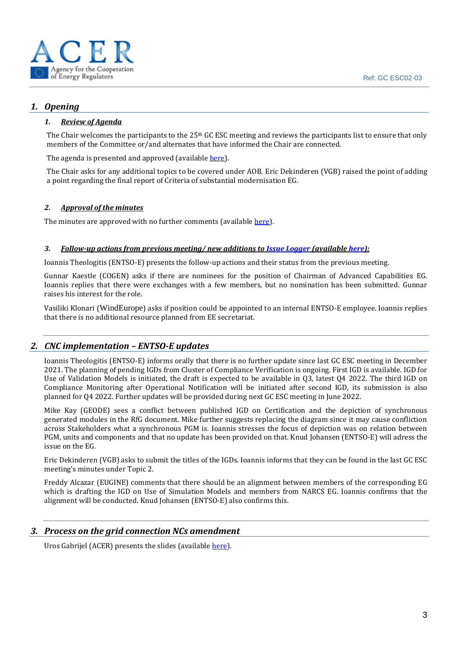

### *1. Opening*

#### *1. Review of Agenda*

The Chair welcomes the participants to the 25<sup>th</sup> GC ESC meeting and reviews the participants list to ensure that only members of the Committee or/and alternates that have informed the Chair are connected.

The agenda is presented and approved (availabl[e here\)](https://eepublicdownloads.azureedge.net/clean-documents/Network%20codes%20documents/GC%20ESC/GC%20ESC%20MEETING%20DOCS/2022/TOP.1._GC_ESC_agenda_220302.pdf).

The Chair asks for any additional topics to be covered under AOB. Eric Dekinderen (VGB) raised the point of adding a point regarding the final report of Criteria of substantial modernisation EG.

#### *2. Approval of the minutes*

The minutes are approved with no further comments (available [here\)](https://eepublicdownloads.azureedge.net/clean-documents/Network%20codes%20documents/GC%20ESC/GC%20ESC%20MEETING%20DOCS/2022/211207_24th_GC_ESC_minutes_final_draft.pdf).

#### *3. Follow-up actions from previous meeting/ new additions t[o Issue Logger](https://esc.network-codes.eu/) (availabl[e here\)](https://eepublicdownloads.azureedge.net/clean-documents/Network%20codes%20documents/GC%20ESC/gc_esc-action_tracker.xlsb):*

Ioannis Theologitis (ENTSO-E) presents the follow-up actions and their status from the previous meeting.

Gunnar Kaestle (COGEN) asks if there are nominees for the position of Chairman of Advanced Capabilities EG. Ioannis replies that there were exchanges with a few members, but no nomination has been submitted. Gunnar raises his interest for the role.

Vasiliki Klonari (WindEurope) asks if position could be appointed to an internal ENTSO-E employee. Ioannis replies that there is no additional resource planned from EE secretariat.

### *2. CNC implementation – ENTSO-E updates*

Ioannis Theologitis (ENTSO-E) informs orally that there is no further update since last GC ESC meeting in December 2021. The planning of pending IGDs from Cluster of Compliance Verification is ongoing. First IGD is available. IGD for Use of Validation Models is initiated, the draft is expected to be available in Q3, latest Q4 2022. The third IGD on Compliance Monitoring after Operational Notification will be initiated after second IGD, its submission is also planned for Q4 2022. Further updates will be provided during next GC ESC meeting in June 2022.

Mike Kay (GEODE) sees a conflict between published IGD on Certification and the depiction of synchronous generated modules in the RfG document. Mike further suggests replacing the diagram since it may cause confliction across Stakeholders what a synchronous PGM is. Ioannis stresses the focus of depiction was on relation between PGM, units and components and that no update has been provided on that. Knud Johansen (ENTSO-E) will adress the issue on the EG.

Eric Dekinderen (VGB) asks to submit the titles of the IGDs. Ioannis informs that they can be found in the last GC ESC meeting's minutes under Topic 2.

Freddy Alcazar (EUGINE) comments that there should be an alignment between members of the corresponding EG which is drafting the IGD on Use of Simulation Models and members from NARCS EG. Ioannis confirms that the alignment will be conducted. Knud Johansen (ENTSO-E) also confirms this.

### *3. Process on the grid connection NCs amendment*

Uros Gabrijel (ACER) presents the slides (available [here\)](https://eepublicdownloads.azureedge.net/clean-documents/Network%20codes%20documents/GC%20ESC/GC%20ESC%20MEETING%20DOCS/2022/TOP.3._GCC_amendment_process.pdf).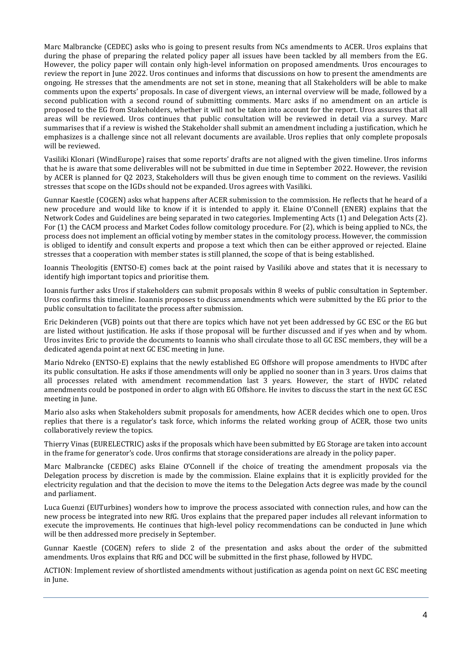Marc Malbrancke (CEDEC) asks who is going to present results from NCs amendments to ACER. Uros explains that during the phase of preparing the related policy paper all issues have been tackled by all members from the EG. However, the policy paper will contain only high-level information on proposed amendments. Uros encourages to review the report in June 2022. Uros continues and informs that discussions on how to present the amendments are ongoing. He stresses that the amendments are not set in stone, meaning that all Stakeholders will be able to make comments upon the experts' proposals. In case of divergent views, an internal overview will be made, followed by a second publication with a second round of submitting comments. Marc asks if no amendment on an article is proposed to the EG from Stakeholders, whether it will not be taken into account for the report. Uros assures that all areas will be reviewed. Uros continues that public consultation will be reviewed in detail via a survey. Marc summarises that if a review is wished the Stakeholder shall submit an amendment including a justification, which he emphasizes is a challenge since not all relevant documents are available. Uros replies that only complete proposals will be reviewed.

Vasiliki Klonari (WindEurope) raises that some reports' drafts are not aligned with the given timeline. Uros informs that he is aware that some deliverables will not be submitted in due time in September 2022. However, the revision by ACER is planned for Q2 2023, Stakeholders will thus be given enough time to comment on the reviews. Vasiliki stresses that scope on the IGDs should not be expanded. Uros agrees with Vasiliki.

Gunnar Kaestle (COGEN) asks what happens after ACER submission to the commission. He reflects that he heard of a new procedure and would like to know if it is intended to apply it. Elaine O'Connell (ENER) explains that the Network Codes and Guidelines are being separated in two categories. Implementing Acts (1) and Delegation Acts (2). For (1) the CACM process and Market Codes follow comitology procedure. For (2), which is being applied to NCs, the process does not implement an official voting by member states in the comitology process. However, the commission is obliged to identify and consult experts and propose a text which then can be either approved or rejected. Elaine stresses that a cooperation with member states is still planned, the scope of that is being established.

Ioannis Theologitis (ENTSO-E) comes back at the point raised by Vasiliki above and states that it is necessary to identify high important topics and prioritise them.

Ioannis further asks Uros if stakeholders can submit proposals within 8 weeks of public consultation in September. Uros confirms this timeline. Ioannis proposes to discuss amendments which were submitted by the EG prior to the public consultation to facilitate the process after submission.

Eric Dekinderen (VGB) points out that there are topics which have not yet been addressed by GC ESC or the EG but are listed without justification. He asks if those proposal will be further discussed and if yes when and by whom. Uros invites Eric to provide the documents to Ioannis who shall circulate those to all GC ESC members, they will be a dedicated agenda point at next GC ESC meeting in June.

Mario Ndreko (ENTSO-E) explains that the newly established EG Offshore will propose amendments to HVDC after its public consultation. He asks if those amendments will only be applied no sooner than in 3 years. Uros claims that all processes related with amendment recommendation last 3 years. However, the start of HVDC related amendments could be postponed in order to align with EG Offshore. He invites to discuss the start in the next GC ESC meeting in June.

Mario also asks when Stakeholders submit proposals for amendments, how ACER decides which one to open. Uros replies that there is a regulator's task force, which informs the related working group of ACER, those two units collaboratively review the topics.

Thierry Vinas (EURELECTRIC) asks if the proposals which have been submitted by EG Storage are taken into account in the frame for generator's code. Uros confirms that storage considerations are already in the policy paper.

Marc Malbrancke (CEDEC) asks Elaine O'Connell if the choice of treating the amendment proposals via the Delegation process by discretion is made by the commission. Elaine explains that it is explicitly provided for the electricity regulation and that the decision to move the items to the Delegation Acts degree was made by the council and parliament.

Luca Guenzi (EUTurbines) wonders how to improve the process associated with connection rules, and how can the new process be integrated into new RfG. Uros explains that the prepared paper includes all relevant information to execute the improvements. He continues that high-level policy recommendations can be conducted in June which will be then addressed more precisely in September.

Gunnar Kaestle (COGEN) refers to slide 2 of the presentation and asks about the order of the submitted amendments. Uros explains that RfG and DCC will be submitted in the first phase, followed by HVDC.

ACTION: Implement review of shortlisted amendments without justification as agenda point on next GC ESC meeting in June.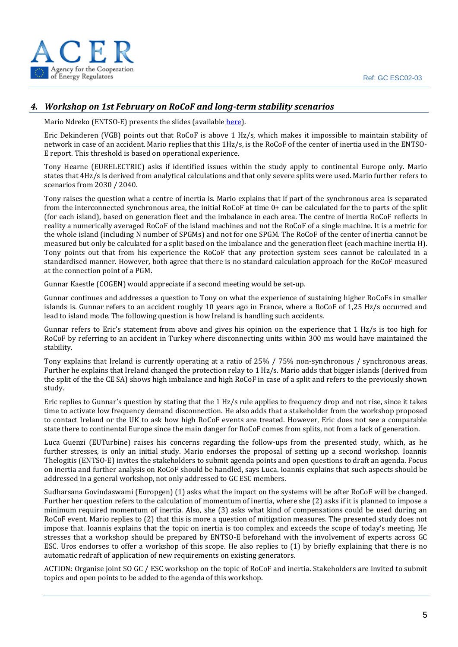

## *4. Workshop on 1st February on RoCoF and long-term stability scenarios*

Mario Ndreko (ENTSO-E) presents the slides (availabl[e here\)](https://eepublicdownloads.azureedge.net/clean-documents/Network%20codes%20documents/GC%20ESC/GC%20ESC%20MEETING%20DOCS/2022/TOP.4._GC_ESC_-_Webinar_on_RoCoF_related_considerations__Summary.pdf).

Eric Dekinderen (VGB) points out that RoCoF is above 1 Hz/s, which makes it impossible to maintain stability of network in case of an accident. Mario replies that this 1Hz/s, is the RoCoF of the center of inertia used in the ENTSO-E report. This threshold is based on operational experience.

Tony Hearne (EURELECTRIC) asks if identified issues within the study apply to continental Europe only. Mario states that 4Hz/s is derived from analytical calculations and that only severe splits were used. Mario further refers to scenarios from 2030 / 2040.

Tony raises the question what a centre of inertia is. Mario explains that if part of the synchronous area is separated from the interconnected synchronous area, the initial RoCoF at time 0+ can be calculated for the to parts of the split (for each island), based on generation fleet and the imbalance in each area. The centre of inertia RoCoF reflects in reality a numerically averaged RoCoF of the island machines and not the RoCoF of a single machine. It is a metric for the whole island (including N number of SPGMs) and not for one SPGM. The RoCoF of the center of inertia cannot be measured but only be calculated for a split based on the imbalance and the generation fleet (each machine inertia H). Tony points out that from his experience the RoCoF that any protection system sees cannot be calculated in a standardised manner. However, both agree that there is no standard calculation approach for the RoCoF measured at the connection point of a PGM.

Gunnar Kaestle (COGEN) would appreciate if a second meeting would be set-up.

Gunnar continues and addresses a question to Tony on what the experience of sustaining higher RoCoFs in smaller islands is. Gunnar refers to an accident roughly 10 years ago in France, where a RoCoF of 1,25 Hz/s occurred and lead to island mode. The following question is how Ireland is handling such accidents.

Gunnar refers to Eric's statement from above and gives his opinion on the experience that 1 Hz/s is too high for RoCoF by referring to an accident in Turkey where disconnecting units within 300 ms would have maintained the stability.

Tony explains that Ireland is currently operating at a ratio of 25% / 75% non-synchronous / synchronous areas. Further he explains that Ireland changed the protection relay to 1 Hz/s. Mario adds that bigger islands (derived from the split of the the CE SA) shows high imbalance and high RoCoF in case of a split and refers to the previously shown study.

Eric replies to Gunnar's question by stating that the 1 Hz/s rule applies to frequency drop and not rise, since it takes time to activate low frequency demand disconnection. He also adds that a stakeholder from the workshop proposed to contact Ireland or the UK to ask how high RoCoF events are treated. However, Eric does not see a comparable state there to continental Europe since the main danger for RoCoF comes from splits, not from a lack of generation.

Luca Guenzi (EUTurbine) raises his concerns regarding the follow-ups from the presented study, which, as he further stresses, is only an initial study. Mario endorses the proposal of setting up a second workshop. Ioannis Thelogitis (ENTSO-E) invites the stakeholders to submit agenda points and open questions to draft an agenda. Focus on inertia and further analysis on RoCoF should be handled, says Luca. Ioannis explains that such aspects should be addressed in a general workshop, not only addressed to GC ESC members.

Sudharsana Govindaswami (Europgen) (1) asks what the impact on the systems will be after RoCoF will be changed. Further her question refers to the calculation of momentum of inertia, where she (2) asks if it is planned to impose a minimum required momentum of inertia. Also, she (3) asks what kind of compensations could be used during an RoCoF event. Mario replies to (2) that this is more a question of mitigation measures. The presented study does not impose that. Ioannis explains that the topic on inertia is too complex and exceeds the scope of today's meeting. He stresses that a workshop should be prepared by ENTSO-E beforehand with the involvement of experts across GC ESC. Uros endorses to offer a workshop of this scope. He also replies to (1) by briefly explaining that there is no automatic redraft of application of new requirements on existing generators.

ACTION: Organise joint SO GC / ESC workshop on the topic of RoCoF and inertia. Stakeholders are invited to submit topics and open points to be added to the agenda of this workshop.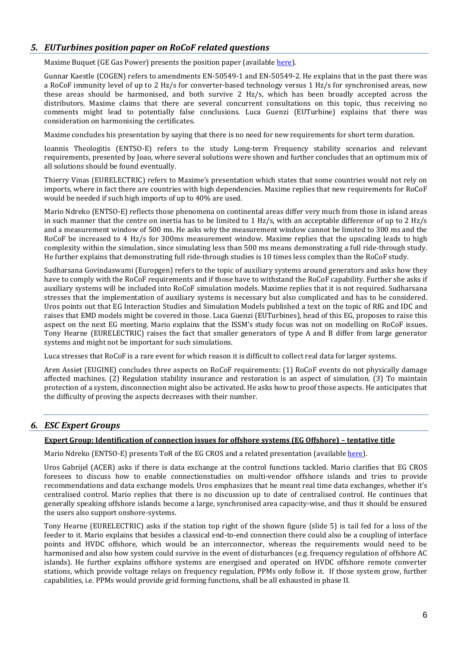### *5. EUTurbines position paper on RoCoF related questions*

Maxime Buquet (GE Gas Power) presents the position paper (available [here\)](https://eepublicdownloads.azureedge.net/clean-documents/Network%20codes%20documents/GC%20ESC/GC%20ESC%20MEETING%20DOCS/2022/TOP.5._EUTurbines_Postion_Paper_RoCoF_final_022022.pdf).

Gunnar Kaestle (COGEN) refers to amendments EN-50549-1 and EN-50549-2. He explains that in the past there was a RoCoF immunity level of up to 2 Hz/s for converter-based technology versus 1 Hz/s for synchronised areas, now these areas should be harmonised, and both survive 2 Hz/s, which has been broadly accepted across the distributors. Maxime claims that there are several concurrent consultations on this topic, thus receiving no comments might lead to potentially false conclusions. Luca Guenzi (EUTurbine) explains that there was consideration on harmonising the certificates.

Maxime concludes his presentation by saying that there is no need for new requirements for short term duration.

Ioannis Theologitis (ENTSO-E) refers to the study Long-term Frequency stability scenarios and relevant requirements, presented by Joao, where several solutions were shown and further concludes that an optimum mix of all solutions should be found eventually.

Thierry Vinas (EURELECTRIC) refers to Maxime's presentation which states that some countries would not rely on imports, where in fact there are countries with high dependencies. Maxime replies that new requirements for RoCoF would be needed if such high imports of up to 40% are used.

Mario Ndreko (ENTSO-E) reflects those phenomena on continental areas differ very much from those in island areas in such manner that the centre on inertia has to be limited to 1 Hz/s, with an acceptable difference of up to 2 Hz/s and a measurement window of 500 ms. He asks why the measurement window cannot be limited to 300 ms and the RoCoF be increased to 4 Hz/s for 300ms measurement window. Maxime replies that the upscaling leads to high complexity within the simulation, since simulating less than 500 ms means demonstrating a full ride-through study. He further explains that demonstrating full ride-through studies is 10 times less complex than the RoCoF study.

Sudharsana Govindaswami (Europgen) refers to the topic of auxiliary systems around generators and asks how they have to comply with the RoCoF requirements and if those have to withstand the RoCoF capability. Further she asks if auxiliary systems will be included into RoCoF simulation models. Maxime replies that it is not required. Sudharsana stresses that the implementation of auxiliary systems is necessary but also complicated and has to be considered. Uros points out that EG Interaction Studies and Simulation Models published a text on the topic of RfG and IDC and raises that EMD models might be covered in those. Luca Guenzi (EUTurbines), head of this EG, proposes to raise this aspect on the next EG meeting. Mario explains that the ISSM's study focus was not on modelling on RoCoF issues. Tony Hearne (EURELECTRIC) raises the fact that smaller generators of type A and B differ from large generator systems and might not be important for such simulations.

Luca stresses that RoCoF is a rare event for which reason it is difficult to collect real data for larger systems.

Aren Assiet (EUGINE) concludes three aspects on RoCoF requirements: (1) RoCoF events do not physically damage affected machines. (2) Regulation stability insurance and restoration is an aspect of simulation. (3) To maintain protection of a system, disconnection might also be activated. He asks how to proof those aspects. He anticipates that the difficulty of proving the aspects decreases with their number.

## *6. ESC Expert Groups*

#### **Expert Group: Identification of connection issues for offshore systems (EG Offshore) – tentative title**

Mario Ndreko (ENTSO-E) presents ToR of the EG CROS and a related presentation (availabl[e here\)](https://eepublicdownloads.azureedge.net/clean-documents/Network%20codes%20documents/GC%20ESC/GC%20ESC%20MEETING%20DOCS/2022/TOP.6._20220302_EG_CROS_Progress_fin.pdf).

Uros Gabrijel (ACER) asks if there is data exchange at the control functions tackled. Mario clarifies that EG CROS foresees to discuss how to enable connectionstudies on multi-vendor offshore islands and tries to provide recommendations and data exchange models. Uros emphasizes that he meant real time data exchanges, whether it's centralised control. Mario replies that there is no discussion up to date of centralised control. He continues that generally speaking offshore islands become a large, synchronised area capacity-wise, and thus it should be ensured the users also support onshore-systems.

Tony Hearne (EURELECTRIC) asks if the station top right of the shown figure (slide 5) is tail fed for a loss of the feeder to it. Mario explains that besides a classical end-to-end connection there could also be a coupling of interface points and HVDC offshore, which would be an interconnector, whereas the requirements would need to be harmonised and also how system could survive in the event of disturbances (e.g. frequency regulation of offshore AC islands). He further explains offshore systems are energised and operated on HVDC offshore remote converter stations, which provide voltage relays on frequency regulation, PPMs only follow it. If those system grow, further capabilities, i.e. PPMs would provide grid forming functions, shall be all exhausted in phase II.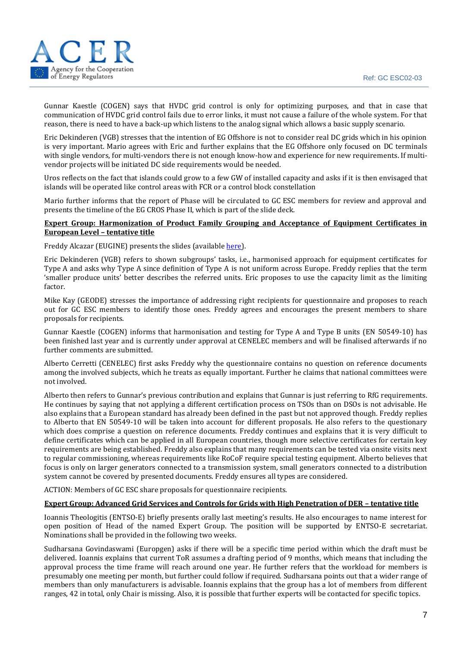

Gunnar Kaestle (COGEN) says that HVDC grid control is only for optimizing purposes, and that in case that communication of HVDC grid control fails due to error links, it must not cause a failure of the whole system. For that reason, there is need to have a back-up which listens to the analog signal which allows a basic supply scenario.

Eric Dekinderen (VGB) stresses that the intention of EG Offshore is not to consider real DC grids which in his opinion is very important. Mario agrees with Eric and further explains that the EG Offshore only focused on DC terminals with single vendors, for multi-vendors there is not enough know-how and experience for new requirements. If multivendor projects will be initiated DC side requirements would be needed.

Uros reflects on the fact that islands could grow to a few GW of installed capacity and asks if it is then envisaged that islands will be operated like control areas with FCR or a control block constellation

Mario further informs that the report of Phase will be circulated to GC ESC members for review and approval and presents the timeline of the EG CROS Phase II, which is part of the slide deck.

#### **Expert Group: Harmonization of Product Family Grouping and Acceptance of Equipment Certificates in European Level – tentative title**

Freddy Alcazar (EUGINE) presents the slides (availabl[e here\)](https://eepublicdownloads.azureedge.net/clean-documents/Network%20codes%20documents/GC%20ESC/GC%20ESC%20MEETING%20DOCS/2022/TOP.6._EG_Harmonization_of_Product_Family_Grouping_and_Acceptance_Status_03_2022.pdf).

Eric Dekinderen (VGB) refers to shown subgroups' tasks, i.e., harmonised approach for equipment certificates for Type A and asks why Type A since definition of Type A is not uniform across Europe. Freddy replies that the term 'smaller produce units' better describes the referred units. Eric proposes to use the capacity limit as the limiting factor.

Mike Kay (GEODE) stresses the importance of addressing right recipients for questionnaire and proposes to reach out for GC ESC members to identify those ones. Freddy agrees and encourages the present members to share proposals for recipients.

Gunnar Kaestle (COGEN) informs that harmonisation and testing for Type A and Type B units (EN 50549-10) has been finished last year and is currently under approval at CENELEC members and will be finalised afterwards if no further comments are submitted.

Alberto Cerretti (CENELEC) first asks Freddy why the questionnaire contains no question on reference documents among the involved subjects, which he treats as equally important. Further he claims that national committees were not involved.

Alberto then refers to Gunnar's previous contribution and explains that Gunnar is just referring to RfG requirements. He continues by saying that not applying a different certification process on TSOs than on DSOs is not advisable. He also explains that a European standard has already been defined in the past but not approved though. Freddy replies to Alberto that EN 50549-10 will be taken into account for different proposals. He also refers to the questionary which does comprise a question on reference documents. Freddy continues and explains that it is very difficult to define certificates which can be applied in all European countries, though more selective certificates for certain key requirements are being established. Freddy also explains that many requirements can be tested via onsite visits next to regular commissioning, whereas requirements like RoCoF require special testing equipment. Alberto believes that focus is only on larger generators connected to a transmission system, small generators connected to a distribution system cannot be covered by presented documents. Freddy ensures all types are considered.

ACTION: Members of GC ESC share proposals for questionnaire recipients.

#### **Expert Group: Advanced Grid Services and Controls for Grids with High Penetration of DER – tentative title**

Ioannis Theologitis (ENTSO-E) briefly presents orally last meeting's results. He also encourages to name interest for open position of Head of the named Expert Group. The position will be supported by ENTSO-E secretariat. Nominations shall be provided in the following two weeks.

Sudharsana Govindaswami (Europgen) asks if there will be a specific time period within which the draft must be delivered. Ioannis explains that current ToR assumes a drafting period of 9 months, which means that including the approval process the time frame will reach around one year. He further refers that the workload for members is presumably one meeting per month, but further could follow if required. Sudharsana points out that a wider range of members than only manufacturers is advisable. Ioannis explains that the group has a lot of members from different ranges, 42 in total, only Chair is missing. Also, it is possible that further experts will be contacted for specific topics.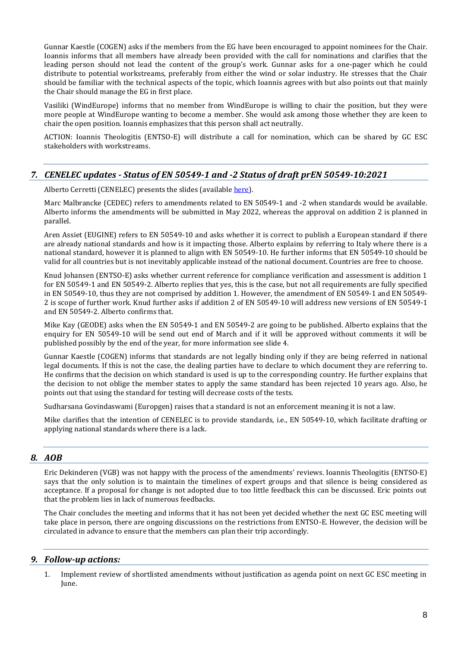Gunnar Kaestle (COGEN) asks if the members from the EG have been encouraged to appoint nominees for the Chair. Ioannis informs that all members have already been provided with the call for nominations and clarifies that the leading person should not lead the content of the group's work. Gunnar asks for a one-pager which he could distribute to potential workstreams, preferably from either the wind or solar industry. He stresses that the Chair should be familiar with the technical aspects of the topic, which Ioannis agrees with but also points out that mainly the Chair should manage the EG in first place.

Vasiliki (WindEurope) informs that no member from WindEurope is willing to chair the position, but they were more people at WindEurope wanting to become a member. She would ask among those whether they are keen to chair the open position. Ioannis emphasizes that this person shall act neutrally.

ACTION: Ioannis Theologitis (ENTSO-E) will distribute a call for nomination, which can be shared by GC ESC stakeholders with workstreams.

# *7. CENELEC updates - Status of EN 50549-1 and -2 Status of draft prEN 50549-10:2021*

Alberto Cerretti (CENELEC) presents the slides (available [here\)](https://eepublicdownloads.azureedge.net/clean-documents/Network%20codes%20documents/GC%20ESC/GC%20ESC%20MEETING%20DOCS/2022/TOP.7._CENELEC_TC8X_WG03_Status_220302.pdf).

Marc Malbrancke (CEDEC) refers to amendments related to EN 50549-1 and -2 when standards would be available. Alberto informs the amendments will be submitted in May 2022, whereas the approval on addition 2 is planned in parallel.

Aren Assiet (EUGINE) refers to EN 50549-10 and asks whether it is correct to publish a European standard if there are already national standards and how is it impacting those. Alberto explains by referring to Italy where there is a national standard, however it is planned to align with EN 50549-10. He further informs that EN 50549-10 should be valid for all countries but is not inevitably applicable instead of the national document. Countries are free to choose.

Knud Johansen (ENTSO-E) asks whether current reference for compliance verification and assessment is addition 1 for EN 50549-1 and EN 50549-2. Alberto replies that yes, this is the case, but not all requirements are fully specified in EN 50549-10, thus they are not comprised by addition 1. However, the amendment of EN 50549-1 and EN 50549- 2 is scope of further work. Knud further asks if addition 2 of EN 50549-10 will address new versions of EN 50549-1 and EN 50549-2. Alberto confirms that.

Mike Kay (GEODE) asks when the EN 50549-1 and EN 50549-2 are going to be published. Alberto explains that the enquiry for EN 50549-10 will be send out end of March and if it will be approved without comments it will be published possibly by the end of the year, for more information see slide 4.

Gunnar Kaestle (COGEN) informs that standards are not legally binding only if they are being referred in national legal documents. If this is not the case, the dealing parties have to declare to which document they are referring to. He confirms that the decision on which standard is used is up to the corresponding country. He further explains that the decision to not oblige the member states to apply the same standard has been rejected 10 years ago. Also, he points out that using the standard for testing will decrease costs of the tests.

Sudharsana Govindaswami (Europgen) raises that a standard is not an enforcement meaning it is not a law.

Mike clarifies that the intention of CENELEC is to provide standards, i.e., EN 50549-10, which facilitate drafting or applying national standards where there is a lack.

### *8. AOB*

Eric Dekinderen (VGB) was not happy with the process of the amendments' reviews. Ioannis Theologitis (ENTSO-E) says that the only solution is to maintain the timelines of expert groups and that silence is being considered as acceptance. If a proposal for change is not adopted due to too little feedback this can be discussed. Eric points out that the problem lies in lack of numerous feedbacks.

The Chair concludes the meeting and informs that it has not been yet decided whether the next GC ESC meeting will take place in person, there are ongoing discussions on the restrictions from ENTSO-E. However, the decision will be circulated in advance to ensure that the members can plan their trip accordingly.

### *9. Follow-up actions:*

1. Implement review of shortlisted amendments without justification as agenda point on next GC ESC meeting in June.